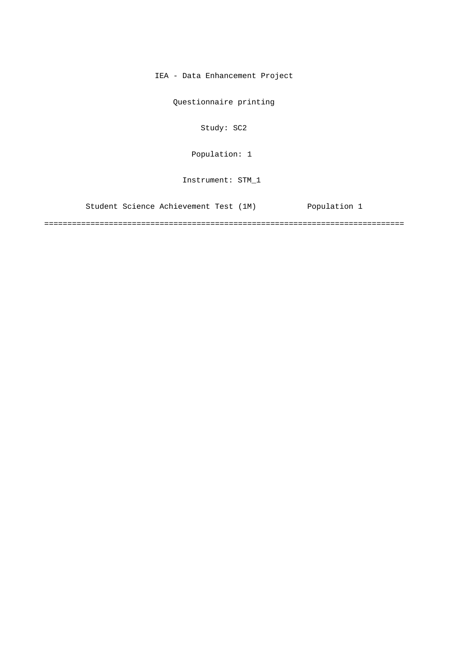IEA - Data Enhancement Project

Questionnaire printing

Study: SC2

Population: 1

Instrument: STM\_1

Student Science Achievement Test (1M) Population 1

==============================================================================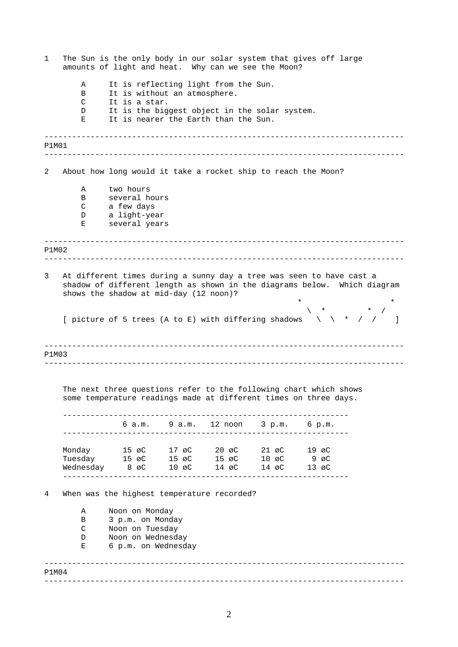| 1                                                                                                                                                                                               |                                                                                | amounts of light and heat. Why can we see the Moon?                                                                                                                  |                |                                     |  | The Sun is the only body in our solar system that gives off large                                                                     |        |  |
|-------------------------------------------------------------------------------------------------------------------------------------------------------------------------------------------------|--------------------------------------------------------------------------------|----------------------------------------------------------------------------------------------------------------------------------------------------------------------|----------------|-------------------------------------|--|---------------------------------------------------------------------------------------------------------------------------------------|--------|--|
|                                                                                                                                                                                                 | It is reflecting light from the Sun.<br>Α<br>It is without an atmosphere.<br>В |                                                                                                                                                                      |                |                                     |  |                                                                                                                                       |        |  |
|                                                                                                                                                                                                 | C<br>D                                                                         | It is a star.<br>It is the biggest object in the solar system.                                                                                                       |                |                                     |  |                                                                                                                                       |        |  |
|                                                                                                                                                                                                 | Е                                                                              | It is nearer the Earth than the Sun.                                                                                                                                 |                |                                     |  |                                                                                                                                       |        |  |
| P1M01                                                                                                                                                                                           |                                                                                |                                                                                                                                                                      |                |                                     |  |                                                                                                                                       |        |  |
| 2                                                                                                                                                                                               |                                                                                | About how long would it take a rocket ship to reach the Moon?                                                                                                        |                |                                     |  |                                                                                                                                       |        |  |
|                                                                                                                                                                                                 | Α                                                                              | two hours                                                                                                                                                            |                |                                     |  |                                                                                                                                       |        |  |
|                                                                                                                                                                                                 | В                                                                              | several hours                                                                                                                                                        |                |                                     |  |                                                                                                                                       |        |  |
|                                                                                                                                                                                                 | C                                                                              | a few days                                                                                                                                                           |                |                                     |  |                                                                                                                                       |        |  |
|                                                                                                                                                                                                 | D<br>Е                                                                         | a light-year<br>several years                                                                                                                                        |                |                                     |  |                                                                                                                                       |        |  |
| P1M02                                                                                                                                                                                           |                                                                                |                                                                                                                                                                      | -------------- |                                     |  |                                                                                                                                       |        |  |
|                                                                                                                                                                                                 |                                                                                |                                                                                                                                                                      |                |                                     |  |                                                                                                                                       |        |  |
| 3<br>At different times during a sunny day a tree was seen to have cast a<br>shadow of different length as shown in the diagrams below. Which diagram<br>shows the shadow at mid-day (12 noon)? |                                                                                |                                                                                                                                                                      |                |                                     |  |                                                                                                                                       |        |  |
|                                                                                                                                                                                                 |                                                                                |                                                                                                                                                                      |                |                                     |  | [ picture of 5 trees (A to E) with differing shadows $\qquad \qquad \qquad$ / /                                                       | $\Box$ |  |
| P1M03                                                                                                                                                                                           |                                                                                |                                                                                                                                                                      |                |                                     |  |                                                                                                                                       |        |  |
|                                                                                                                                                                                                 |                                                                                |                                                                                                                                                                      |                |                                     |  |                                                                                                                                       |        |  |
|                                                                                                                                                                                                 |                                                                                |                                                                                                                                                                      |                |                                     |  | The next three questions refer to the following chart which shows<br>some temperature readings made at different times on three days. |        |  |
|                                                                                                                                                                                                 |                                                                                |                                                                                                                                                                      |                | 6 a.m. 9 a.m. 12 noon 3 p.m. 6 p.m. |  |                                                                                                                                       |        |  |
|                                                                                                                                                                                                 | Monday                                                                         | 15 øC 17 øC 20 øC 21 øC 19 øC                                                                                                                                        |                |                                     |  |                                                                                                                                       |        |  |
|                                                                                                                                                                                                 |                                                                                | Tuesday $15 \text{ } \varnothing$ $15 \text{ } \varnothing$ $15 \text{ } \varnothing$ $10 \text{ } \varnothing$ $9 \text{ } \varnothing$                             |                |                                     |  |                                                                                                                                       |        |  |
|                                                                                                                                                                                                 |                                                                                | Wednesday $8 \text{ } \varnothing$ $10 \text{ } \varnothing$ $14 \text{ } \varnothing$ $14 \text{ } \varnothing$ $14 \text{ } \varnothing$ $13 \text{ } \varnothing$ |                |                                     |  |                                                                                                                                       |        |  |
| 4                                                                                                                                                                                               |                                                                                | When was the highest temperature recorded?                                                                                                                           |                |                                     |  |                                                                                                                                       |        |  |
|                                                                                                                                                                                                 | Α                                                                              | Noon on Monday                                                                                                                                                       |                |                                     |  |                                                                                                                                       |        |  |
| 3 p.m. on Monday<br>В<br>Noon on Tuesday<br>C<br>Noon on Wednesday<br>D                                                                                                                         |                                                                                |                                                                                                                                                                      |                |                                     |  |                                                                                                                                       |        |  |
|                                                                                                                                                                                                 |                                                                                |                                                                                                                                                                      |                |                                     |  |                                                                                                                                       |        |  |
|                                                                                                                                                                                                 | Е                                                                              | 6 p.m. on Wednesday                                                                                                                                                  |                |                                     |  |                                                                                                                                       |        |  |
| P1M04                                                                                                                                                                                           |                                                                                |                                                                                                                                                                      |                |                                     |  |                                                                                                                                       |        |  |
|                                                                                                                                                                                                 |                                                                                |                                                                                                                                                                      |                |                                     |  |                                                                                                                                       |        |  |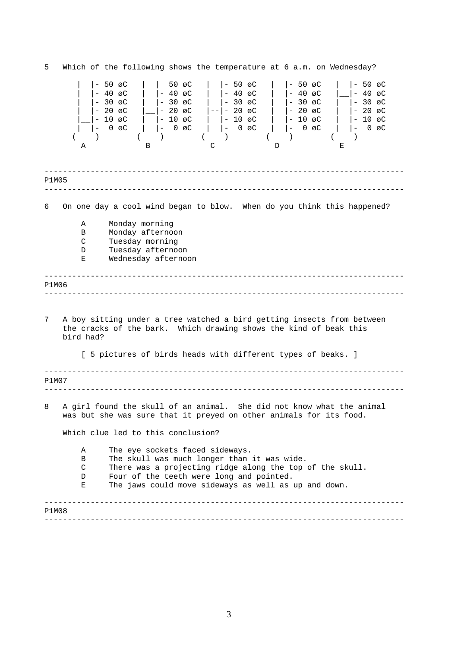------------------------------------------------------------------------------ ------------------------------------------------------------------------------ ------------------------------------------------------------------------------ ------------------------------------------------------------------------------ ------------------------------------------------------------------------------ ------------------------------------------------------------------------------ ------------------------------------------------------------------------------ ------------------------------------------------------------------------------ 5 Which of the following shows the temperature at 6 a.m. on Wednesday? | |- 50 øC | | 50 øC | |- 50 øC | |- 50 øC | |- 50 øC | |- 40 øC | |- 40 øC | |- 40 øC | |- 40 øC |\_\_|- 40 øC | |- 30 øC | |- 30 øC | |- 30 øC |\_\_|- 30 øC | |- 30 øC | |- 20 øC |\_\_|- 20 øC |--|- 20 øC | |- 20 øC | |- 20 øC |\_\_|- 10 øC | |- 10 øC | |- 10 øC | |- 10 øC | |- 10 øC | |- 0 øC | |- 0 øC | |- 0 øC | |- 0 øC | |- 0 øC ( ) ( ) ( ) ( ) A B C D E P1M05 6 On one day a cool wind began to blow. When do you think this happened? A Monday morning B Monday afternoon C Tuesday morning D Tuesday afternoon E Wednesday afternoon P1M06 7 A boy sitting under a tree watched a bird getting insects from between the cracks of the bark. Which drawing shows the kind of beak this bird had? [ 5 pictures of birds heads with different types of beaks. ] P1M07 8 A girl found the skull of an animal. She did not know what the animal was but she was sure that it preyed on other animals for its food. Which clue led to this conclusion? A The eye sockets faced sideways. B The skull was much longer than it was wide. C There was a projecting ridge along the top of the skull. D Four of the teeth were long and pointed. E The jaws could move sideways as well as up and down. P1M08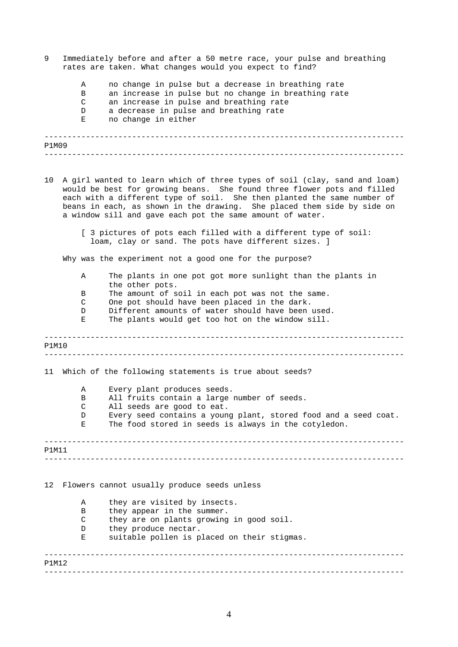- 9 Immediately before and after a 50 metre race, your pulse and breathing rates are taken. What changes would you expect to find?
	- A no change in pulse but a decrease in breathing rate
	- B an increase in pulse but no change in breathing rate
	- C an increase in pulse and breathing rate
	- D a decrease in pulse and breathing rate
	- E no change in either

------------------------------------------------------------------------------

| P1M09 |  |
|-------|--|
|       |  |

- 10 A girl wanted to learn which of three types of soil (clay, sand and loam) would be best for growing beans. She found three flower pots and filled each with a different type of soil. She then planted the same number of beans in each, as shown in the drawing. She placed them side by side on a window sill and gave each pot the same amount of water.
	- [ 3 pictures of pots each filled with a different type of soil: loam, clay or sand. The pots have different sizes. ]

Why was the experiment not a good one for the purpose?

- A The plants in one pot got more sunlight than the plants in the other pots.
- B The amount of soil in each pot was not the same.
- C One pot should have been placed in the dark.
- D Different amounts of water should have been used.
- E The plants would get too hot on the window sill.

------------------------------------------------------------------------------ ------------------------------------------------------------------------------ ------------------------------------------------------------------------------ ------------------------------------------------------------------------------ ------------------------------------------------------------------------------ P1M10 11 Which of the following statements is true about seeds? A Every plant produces seeds. B All fruits contain a large number of seeds. C All seeds are good to eat. D Every seed contains a young plant, stored food and a seed coat. E The food stored in seeds is always in the cotyledon. P1M11 12 Flowers cannot usually produce seeds unless A they are visited by insects. B they appear in the summer. C they are on plants growing in good soil. D they produce nectar. E suitable pollen is placed on their stigmas. P1M12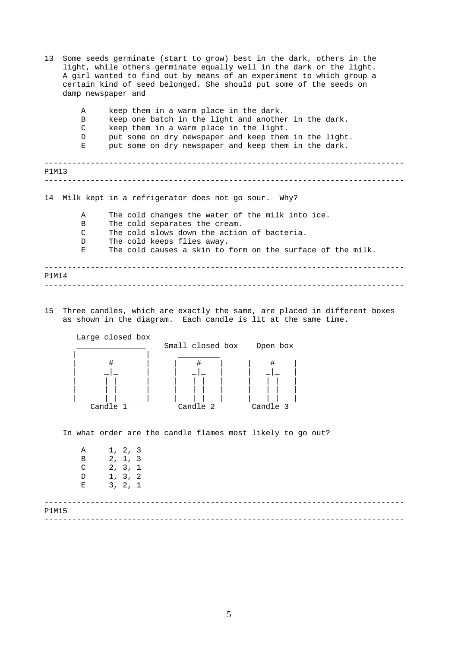- ------------------------------------------------------------------------------ ------------------------------------------------------------------------------ ------------------------------------------------------------------------------ ------------------------------------------------------------------------------ 13 Some seeds germinate (start to grow) best in the dark, others in the light, while others germinate equally well in the dark or the light. A girl wanted to find out by means of an experiment to which group a certain kind of seed belonged. She should put some of the seeds on damp newspaper and A keep them in a warm place in the dark. B keep one batch in the light and another in the dark. C keep them in a warm place in the light. D put some on dry newspaper and keep them in the light. E put some on dry newspaper and keep them in the dark. P1M13 14 Milk kept in a refrigerator does not go sour. Why? A The cold changes the water of the milk into ice. B The cold separates the cream. C The cold slows down the action of bacteria. D The cold keeps flies away. E The cold causes a skin to form on the surface of the milk. P1M14
- 15 Three candles, which are exactly the same, are placed in different boxes as shown in the diagram. Each candle is lit at the same time.



In what order are the candle flames most likely to go out?

| Α<br>B<br>C<br>D<br>Е | 1, 2, 3<br>2, 1, 3<br>2, 3, 1<br>1, 3, 2<br>3, 2, 1 |  |  |
|-----------------------|-----------------------------------------------------|--|--|
| P1M15                 |                                                     |  |  |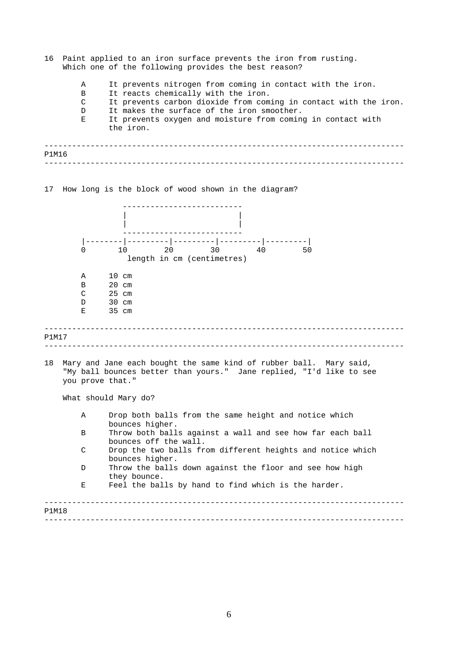| 16    |                      | Paint applied to an iron surface prevents the iron from rusting.<br>Which one of the following provides the best reason?                  |  |  |  |  |  |
|-------|----------------------|-------------------------------------------------------------------------------------------------------------------------------------------|--|--|--|--|--|
|       | Α<br>B               | It prevents nitrogen from coming in contact with the iron.<br>It reacts chemically with the iron.                                         |  |  |  |  |  |
|       | C                    | It prevents carbon dioxide from coming in contact with the iron.                                                                          |  |  |  |  |  |
|       | D<br>Ε               | It makes the surface of the iron smoother.<br>It prevents oxygen and moisture from coming in contact with                                 |  |  |  |  |  |
|       |                      | the iron.                                                                                                                                 |  |  |  |  |  |
| P1M16 |                      |                                                                                                                                           |  |  |  |  |  |
|       |                      |                                                                                                                                           |  |  |  |  |  |
|       |                      |                                                                                                                                           |  |  |  |  |  |
|       |                      | 17 How long is the block of wood shown in the diagram?                                                                                    |  |  |  |  |  |
|       |                      |                                                                                                                                           |  |  |  |  |  |
|       |                      |                                                                                                                                           |  |  |  |  |  |
|       |                      |                                                                                                                                           |  |  |  |  |  |
|       | $\Omega$             | 10 20 30<br>40<br>50                                                                                                                      |  |  |  |  |  |
|       |                      | length in cm (centimetres)                                                                                                                |  |  |  |  |  |
|       |                      |                                                                                                                                           |  |  |  |  |  |
|       | Α                    | $10 \text{ cm}$                                                                                                                           |  |  |  |  |  |
|       | B<br>C               | $20 \text{ cm}$<br>$25$ cm                                                                                                                |  |  |  |  |  |
|       | D                    | $30 \text{ cm}$                                                                                                                           |  |  |  |  |  |
|       | Е                    | 35 cm                                                                                                                                     |  |  |  |  |  |
| P1M17 |                      |                                                                                                                                           |  |  |  |  |  |
|       |                      |                                                                                                                                           |  |  |  |  |  |
| 18    | you prove that."     | Mary and Jane each bought the same kind of rubber ball. Mary said,<br>"My ball bounces better than yours." Jane replied, "I'd like to see |  |  |  |  |  |
|       | What should Mary do? |                                                                                                                                           |  |  |  |  |  |
|       | Α                    | Drop both balls from the same height and notice which<br>bounces higher.                                                                  |  |  |  |  |  |
|       | B                    | Throw both balls against a wall and see how far each ball<br>bounces off the wall.                                                        |  |  |  |  |  |
|       | C                    | Drop the two balls from different heights and notice which                                                                                |  |  |  |  |  |
|       | D                    | bounces higher.<br>Throw the balls down against the floor and see how high                                                                |  |  |  |  |  |
|       |                      | they bounce.                                                                                                                              |  |  |  |  |  |
|       | Е                    | Feel the balls by hand to find which is the harder.                                                                                       |  |  |  |  |  |
| P1M18 |                      |                                                                                                                                           |  |  |  |  |  |
|       |                      |                                                                                                                                           |  |  |  |  |  |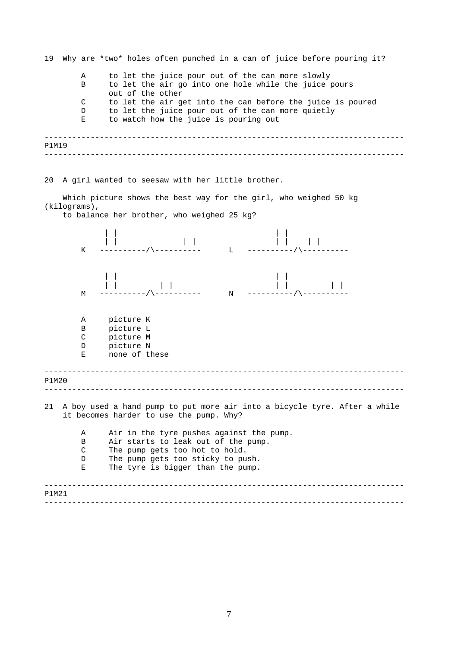------------------------------------------------------------------------------ ------------------------------------------------------------------------------ ------------------------------------------------------------------------------ ------------------------------------------------------------------------------ ------------------------------------------------------------------------------ ------------------------------------------------------------------------------ 19 Why are \*two\* holes often punched in a can of juice before pouring it? A to let the juice pour out of the can more slowly B to let the air go into one hole while the juice pours out of the other C to let the air get into the can before the juice is poured D to let the juice pour out of the can more quietly E to watch how the juice is pouring out P1M19 20 A girl wanted to seesaw with her little brother. Which picture shows the best way for the girl, who weighed 50 kg (kilograms), to balance her brother, who weighed 25 kg? | | | | | | | | | | | | K ----------/\---------- L ----------/\---------- | | | | | | | | | | | | M -----------/\------------ N -----------/\----------A picture K B picture L C picture M D picture N E none of these P1M20 21 A boy used a hand pump to put more air into a bicycle tyre. After a while it becomes harder to use the pump. Why? A Air in the tyre pushes against the pump. B Air starts to leak out of the pump. C The pump gets too hot to hold. D The pump gets too sticky to push. E The tyre is bigger than the pump. P1M21